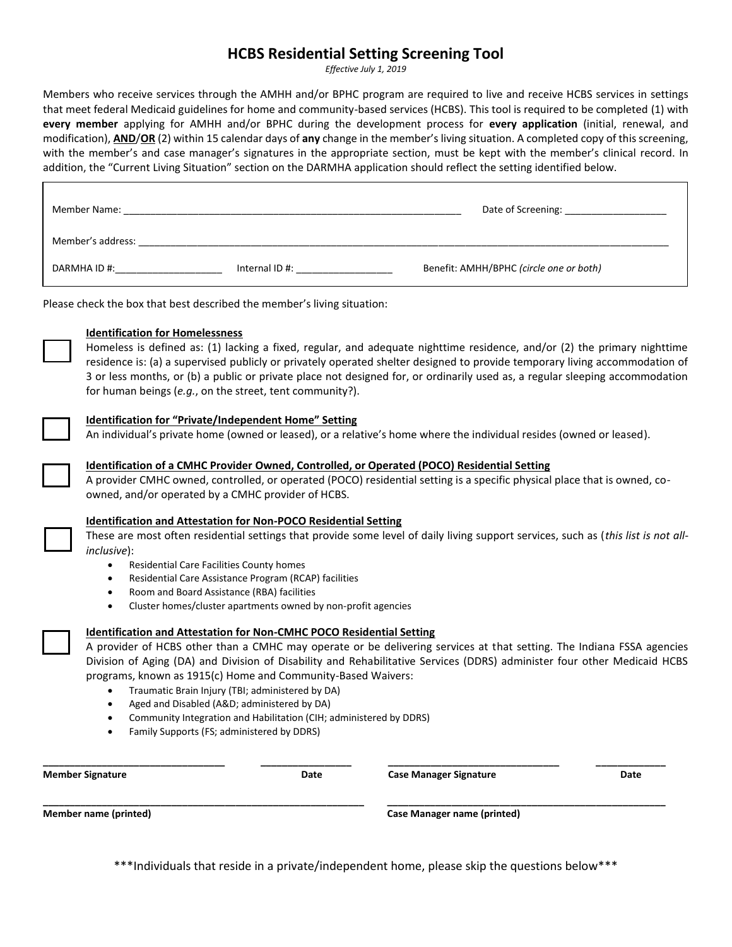# **HCBS Residential Setting Screening Tool**

*Effective July 1, 2019*

Members who receive services through the AMHH and/or BPHC program are required to live and receive HCBS services in settings that meet federal Medicaid guidelines for home and community-based services (HCBS). This tool is required to be completed (1) with **every member** applying for AMHH and/or BPHC during the development process for **every application** (initial, renewal, and modification), **AND**/**OR** (2) within 15 calendar days of **any** change in the member's living situation. A completed copy of this screening, with the member's and case manager's signatures in the appropriate section, must be kept with the member's clinical record. In addition, the "Current Living Situation" section on the DARMHA application should reflect the setting identified below.

| Member Name:      |               | Date of Screening:                      |
|-------------------|---------------|-----------------------------------------|
| Member's address: |               |                                         |
| DARMHA ID #:      | Internal ID#: | Benefit: AMHH/BPHC (circle one or both) |

Please check the box that best described the member's living situation:

## **Identification for Homelessness**

Homeless is defined as: (1) lacking a fixed, regular, and adequate nighttime residence, and/or (2) the primary nighttime residence is: (a) a supervised publicly or privately operated shelter designed to provide temporary living accommodation of 3 or less months, or (b) a public or private place not designed for, or ordinarily used as, a regular sleeping accommodation for human beings (*e.g.*, on the street, tent community?).

#### **Identification for "Private/Independent Home" Setting**

An individual's private home (owned or leased), or a relative's home where the individual resides (owned or leased).



#### **Identification of a CMHC Provider Owned, Controlled, or Operated (POCO) Residential Setting**

A provider CMHC owned, controlled, or operated (POCO) residential setting is a specific physical place that is owned, coowned, and/or operated by a CMHC provider of HCBS.



### **Identification and Attestation for Non-POCO Residential Setting**

These are most often residential settings that provide some level of daily living support services, such as (*this list is not allinclusive*):

- Residential Care Facilities County homes
- Residential Care Assistance Program (RCAP) facilities
- Room and Board Assistance (RBA) facilities
- Cluster homes/cluster apartments owned by non-profit agencies

### **Identification and Attestation for Non-CMHC POCO Residential Setting**

A provider of HCBS other than a CMHC may operate or be delivering services at that setting. The Indiana FSSA agencies Division of Aging (DA) and Division of Disability and Rehabilitative Services (DDRS) administer four other Medicaid HCBS programs, known as 1915(c) Home and Community-Based Waivers:

- Traumatic Brain Injury (TBI; administered by DA)
- Aged and Disabled (A&D; administered by DA)
- Community Integration and Habilitation (CIH; administered by DDRS)
- Family Supports (FS; administered by DDRS)

**Member Signature Date Case Manager Signature Date** 

**Member name (printed) Case Manager name (printed)** 

\*\*\*Individuals that reside in a private/independent home, please skip the questions below\*\*\*

**\_\_\_\_\_\_\_\_\_\_\_\_\_\_\_\_\_\_\_\_\_\_\_\_\_\_\_\_\_\_\_\_\_\_ \_\_\_\_\_\_\_\_\_\_\_\_\_\_\_\_\_ \_\_\_\_\_\_\_\_\_\_\_\_\_\_\_\_\_\_\_\_\_\_\_\_\_\_\_\_\_\_\_\_ \_\_\_\_\_\_\_\_\_\_\_\_\_** 

**\_\_\_\_\_\_\_\_\_\_\_\_\_\_\_\_\_\_\_\_\_\_\_\_\_\_\_\_\_\_\_\_\_\_\_\_\_\_\_\_\_\_\_\_\_\_\_\_\_\_\_\_\_\_\_\_\_\_\_\_ \_\_\_\_\_\_\_\_\_\_\_\_\_\_\_\_\_\_\_\_\_\_\_\_\_\_\_\_\_\_\_\_\_\_\_\_\_\_\_\_\_\_\_\_\_\_\_\_\_\_\_\_**